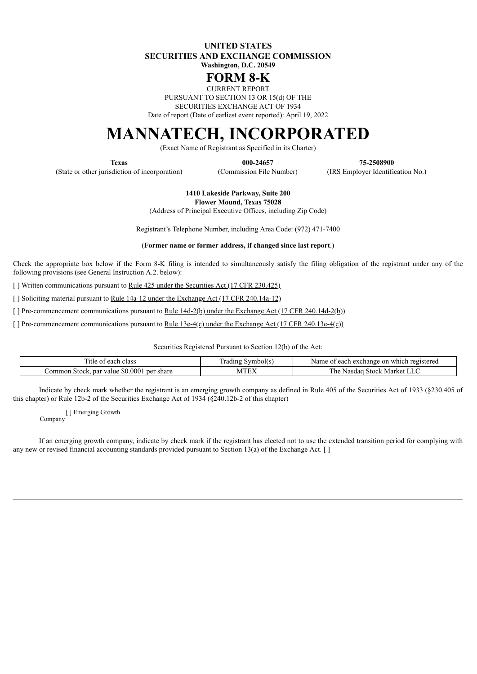**UNITED STATES SECURITIES AND EXCHANGE COMMISSION Washington, D.C. 20549**

## **FORM 8-K**

CURRENT REPORT

PURSUANT TO SECTION 13 OR 15(d) OF THE

SECURITIES EXCHANGE ACT OF 1934

Date of report (Date of earliest event reported): April 19, 2022

# **MANNATECH, INCORPORATED**

(Exact Name of Registrant as Specified in its Charter)

(State or other jurisdiction of incorporation) (Commission File Number) (IRS Employer Identification No.)

**Texas 000-24657 75-2508900**

**1410 Lakeside Parkway, Suite 200 Flower Mound, Texas 75028**

(Address of Principal Executive Offices, including Zip Code)

Registrant's Telephone Number, including Area Code: (972) 471-7400

(**Former name or former address, if changed since last report**.)

Check the appropriate box below if the Form 8-K filing is intended to simultaneously satisfy the filing obligation of the registrant under any of the following provisions (see General Instruction A.2. below):

[ ] Written communications pursuant to Rule 425 under the Securities Act (17 CFR 230.425)

[ ] Soliciting material pursuant to <u>Rule 14a-12</u> under the Exchange Act (17 CFR 240.14a-12)

[ ] Pre-commencement communications pursuant to <u>Rule 14d-2(b) under the Exchange Act (17 CFR 240.14d-2(b)</u>)

[ ] Pre-commencement communications pursuant to <u>Rule 13e-4(c)</u> under the Exchange Act (17 CFR 240.13e-4(c))

Securities Registered Pursuant to Section 12(b) of the Act:

| -11 l<br>each<br>class                                    | $\sim$<br>rading<br><b>THAN</b><br>. וו∩י    | egistered.<br>Name<br>exchange<br>on<br>which<br>each     |
|-----------------------------------------------------------|----------------------------------------------|-----------------------------------------------------------|
| 0.0001<br>share<br>par<br>ner<br>value<br>.ommon<br>Stock | <b>CHILL</b><br>ιvι<br>$\mathbf{L}^{\prime}$ | Marke <sup>+</sup><br>. he<br>Stock<br>sdac<br><b>Nas</b> |

Indicate by check mark whether the registrant is an emerging growth company as defined in Rule 405 of the Securities Act of 1933 (§230.405 of this chapter) or Rule 12b-2 of the Securities Exchange Act of 1934 (§240.12b-2 of this chapter)

[ ] Emerging Growth Company

If an emerging growth company, indicate by check mark if the registrant has elected not to use the extended transition period for complying with any new or revised financial accounting standards provided pursuant to Section 13(a) of the Exchange Act. []